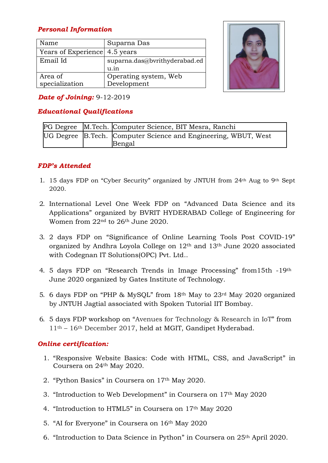# *Personal Information*

| Name                          | Suparna Das                   |
|-------------------------------|-------------------------------|
| Years of Experience 4.5 years |                               |
| Email Id                      | suparna.das@bvrithyderabad.ed |
|                               | u.in                          |
| Area of                       | Operating system, Web         |
| specialization                | Development                   |



## *Date of Joining:* 9-12-2019

# *Educational Qualifications*

|  | PG Degree M.Tech. Computer Science, BIT Mesra, Ranchi                    |
|--|--------------------------------------------------------------------------|
|  | UG Degree B.Tech. Computer Science and Engineering, WBUT, West<br>Bengal |

## *FDP's Attended*

- 1. 15 days FDP on "Cyber Security" organized by JNTUH from  $24<sup>th</sup>$  Aug to 9<sup>th</sup> Sept 2020.
- 2. International Level One Week FDP on "Advanced Data Science and its Applications" organized by BVRIT HYDERABAD College of Engineering for Women from 22nd to 26th June 2020.
- 3. 2 days FDP on "Significance of Online Learning Tools Post COVID-19" organized by Andhra Loyola College on 12th and 13th June 2020 associated with Codegnan IT Solutions(OPC) Pvt. Ltd..
- 4. 5 days FDP on "Research Trends in Image Processing" from15th -19th June 2020 organized by Gates Institute of Technology.
- 5. 6 days FDP on "PHP & MySQL" from 18th May to 23rd May 2020 organized by JNTUH Jagtial associated with Spoken Tutorial IIT Bombay.
- 6. 5 days FDP workshop on "Avenues for Technology & Research in IoT" from 11th – 16th December 2017, held at MGIT, Gandipet Hyderabad.

### *Online certification:*

- 1. "Responsive Website Basics: Code with HTML, CSS, and JavaScript" in Coursera on 24th May 2020.
- 2. "Python Basics" in Coursera on 17th May 2020.
- 3. "Introduction to Web Development" in Coursera on 17th May 2020
- 4. "Introduction to HTML5" in Coursera on 17th May 2020
- 5. "AI for Everyone" in Coursera on 16th May 2020
- 6. "Introduction to Data Science in Python" in Coursera on 25th April 2020.